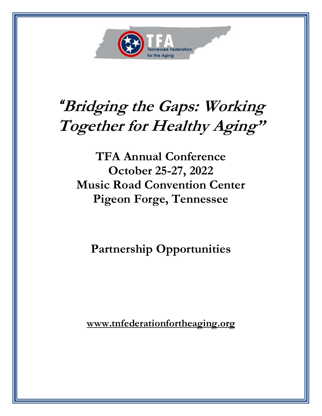

# *"***Bridging the Gaps: Working Together for Healthy Aging"**

**TFA Annual Conference October 25-27, 2022 Music Road Convention Center Pigeon Forge, Tennessee**

**Partnership Opportunities**

**www.tnfederationfortheaging.org**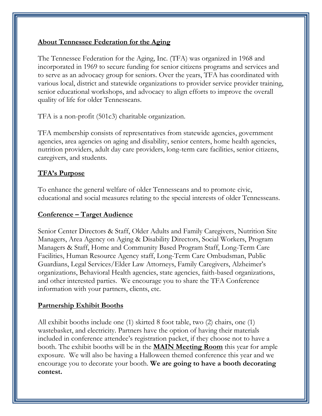#### **About Tennessee Federation for the Aging**

The Tennessee Federation for the Aging, Inc. (TFA) was organized in 1968 and incorporated in 1969 to secure funding for senior citizens programs and services and to serve as an advocacy group for seniors. Over the years, TFA has coordinated with various local, district and statewide organizations to provider service provider training, senior educational workshops, and advocacy to align efforts to improve the overall quality of life for older Tennesseans.

TFA is a non-profit (501c3) charitable organization.

TFA membership consists of representatives from statewide agencies, government agencies, area agencies on aging and disability, senior centers, home health agencies, nutrition providers, adult day care providers, long-term care facilities, senior citizens, caregivers, and students.

### **TFA's Purpose**

To enhance the general welfare of older Tennesseans and to promote civic, educational and social measures relating to the special interests of older Tennesseans.

#### **Conference – Target Audience**

Senior Center Directors & Staff, Older Adults and Family Caregivers, Nutrition Site Managers, Area Agency on Aging & Disability Directors, Social Workers, Program Managers & Staff, Home and Community Based Program Staff, Long-Term Care Facilities, Human Resource Agency staff, Long-Term Care Ombudsman, Public Guardians, Legal Services/Elder Law Attorneys, Family Caregivers, Alzheimer's organizations, Behavioral Health agencies, state agencies, faith-based organizations, and other interested parties. We encourage you to share the TFA Conference information with your partners, clients, etc.

#### **Partnership Exhibit Booths**

All exhibit booths include one (1) skirted 8 foot table, two (2) chairs, one (1) wastebasket, and electricity. Partners have the option of having their materials included in conference attendee's registration packet, if they choose not to have a booth. The exhibit booths will be in the **MAIN Meeting Room** this year for ample exposure. We will also be having a Halloween themed conference this year and we encourage you to decorate your booth. **We are going to have a booth decorating contest.**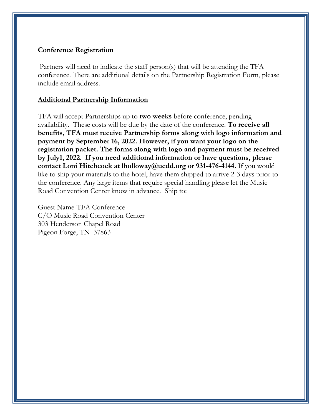#### **Conference Registration**

Partners will need to indicate the staff person(s) that will be attending the TFA conference. There are additional details on the Partnership Registration Form, please include email address.

#### **Additional Partnership Information**

TFA will accept Partnerships up to **two weeks** before conference, pending availability. These costs will be due by the date of the conference. **To receive all benefits, TFA must receive Partnership forms along with logo information and payment by September 16, 2022. However, if you want your logo on the registration packet. The forms along with logo and payment must be received by July1, 2022**. **If you need additional information or have questions, please contact Loni Hitchcock at lholloway@ucdd.org or 931-476-4144.** If you would like to ship your materials to the hotel, have them shipped to arrive 2-3 days prior to the conference. Any large items that require special handling please let the Music Road Convention Center know in advance. Ship to:

Guest Name-TFA Conference C/O Music Road Convention Center 303 Henderson Chapel Road Pigeon Forge, TN 37863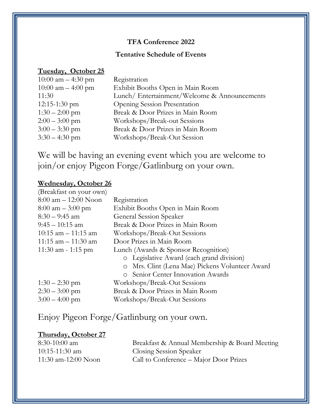#### **TFA Conference 2022**

#### **Tentative Schedule of Events**

#### **Tuesday, October 25**

| Registration                                |
|---------------------------------------------|
| Exhibit Booths Open in Main Room            |
| Lunch/Entertainment/Welcome & Announcements |
| <b>Opening Session Presentation</b>         |
| Break & Door Prizes in Main Room            |
| Workshops/Break-out Sessions                |
| Break & Door Prizes in Main Room            |
| Workshops/Break-Out Session                 |
|                                             |

We will be having an evening event which you are welcome to join/or enjoy Pigeon Forge/Gatlinburg on your own.

#### **Wednesday, October 26**

| (Breakfast on your own)             |                                                 |
|-------------------------------------|-------------------------------------------------|
| $8:00$ am $-12:00$ Noon             | Registration                                    |
| $8:00 \text{ am} - 3:00 \text{ pm}$ | Exhibit Booths Open in Main Room                |
| $8:30 - 9:45$ am                    | General Session Speaker                         |
| $9:45 - 10:15$ am                   | Break & Door Prizes in Main Room                |
| $10:15$ am $-11:15$ am              | Workshops/Break-Out Sessions                    |
| $11:15$ am $-11:30$ am              | Door Prizes in Main Room                        |
| $11:30$ am - 1:15 pm                | Lunch (Awards & Sponsor Recognition)            |
|                                     | o Legislative Award (each grand division)       |
|                                     | o Mrs. Clint (Lena Mae) Pickens Volunteer Award |
|                                     | o Senior Center Innovation Awards               |
| $1:30 - 2:30$ pm                    | Workshops/Break-Out Sessions                    |
| $2:30 - 3:00$ pm                    | Break & Door Prizes in Main Room                |
| $3:00 - 4:00$ pm                    | Workshops/Break-Out Sessions                    |
|                                     |                                                 |

# Enjoy Pigeon Forge/Gatlinburg on your own.

#### **Thursday, October 27**

| $8:30-10:00$ am     | Breakfast & Annual Membership & Board Meeting |
|---------------------|-----------------------------------------------|
| $10:15-11:30$ am    | <b>Closing Session Speaker</b>                |
| 11:30 am-12:00 Noon | Call to Conference – Major Door Prizes        |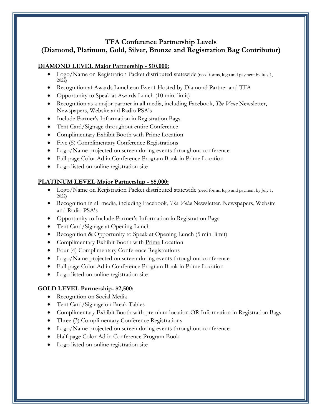#### **TFA Conference Partnership Levels (Diamond, Platinum, Gold, Silver, Bronze and Registration Bag Contributor)**

#### **DIAMOND LEVEL Major Partnership - \$10,000:**

- Logo/Name on Registration Packet distributed statewide (need forms, logo and payment by July 1, 2022)
- Recognition at Awards Luncheon Event-Hosted by Diamond Partner and TFA
- Opportunity to Speak at Awards Lunch (10 min. limit)
- Recognition as a major partner in all media, including Facebook, *The Voice* Newsletter, Newspapers, Website and Radio PSA's
- Include Partner's Information in Registration Bags
- Tent Card/Signage throughout entire Conference
- Complimentary Exhibit Booth with Prime Location
- Five (5) Complimentary Conference Registrations
- Logo/Name projected on screen during events throughout conference
- Full-page Color Ad in Conference Program Book in Prime Location
- Logo listed on online registration site

#### **PLATINUM LEVEL Major Partnership - \$5,000:**

- Logo/Name on Registration Packet distributed statewide (need forms, logo and payment by July 1, 2022)
- Recognition in all media, including Facebook, *The Voice* Newsletter, Newspapers, Website and Radio PSA's
- Opportunity to Include Partner's Information in Registration Bags
- Tent Card/Signage at Opening Lunch
- Recognition & Opportunity to Speak at Opening Lunch (5 min. limit)
- Complimentary Exhibit Booth with Prime Location
- Four (4) Complimentary Conference Registrations
- Logo/Name projected on screen during events throughout conference
- Full-page Color Ad in Conference Program Book in Prime Location
- Logo listed on online registration site

#### **GOLD LEVEL Partnership- \$2,500:**

- Recognition on Social Media
- Tent Card/Signage on Break Tables
- Complimentary Exhibit Booth with premium location OR Information in Registration Bags
- Three (3) Complimentary Conference Registrations
- Logo/Name projected on screen during events throughout conference
- Half-page Color Ad in Conference Program Book
- Logo listed on online registration site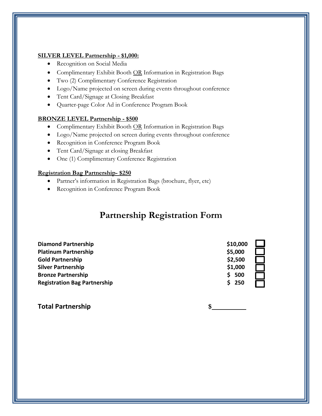#### **SILVER LEVEL Partnership - \$1,000:**

- Recognition on Social Media
- Complimentary Exhibit Booth OR Information in Registration Bags
- Two (2) Complimentary Conference Registration
- Logo/Name projected on screen during events throughout conference
- Tent Card/Signage at Closing Breakfast
- Quarter-page Color Ad in Conference Program Book

#### **BRONZE LEVEL Partnership - \$500**

- Complimentary Exhibit Booth OR Information in Registration Bags
- Logo/Name projected on screen during events throughout conference
- Recognition in Conference Program Book
- Tent Card/Signage at closing Breakfast
- One (1) Complimentary Conference Registration

#### **Registration Bag Partnership- \$250**

- Partner's information in Registration Bags (brochure, flyer, etc)
- Recognition in Conference Program Book

## **Partnership Registration Form**

| <b>Diamond Partnership</b>          | \$10,000   |  |
|-------------------------------------|------------|--|
| <b>Platinum Partnership</b>         | \$5,000    |  |
| <b>Gold Partnership</b>             | \$2,500    |  |
| <b>Silver Partnership</b>           | \$1,000    |  |
| <b>Bronze Partnership</b>           | Ś.<br>500  |  |
| <b>Registration Bag Partnership</b> | \$.<br>250 |  |

**Total Partnership \$**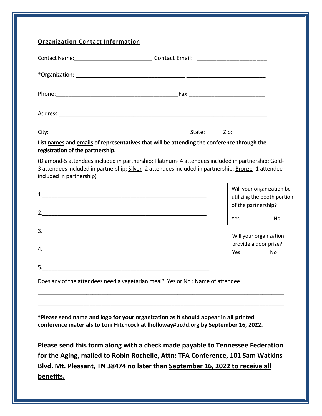| registration of the partnership. | List names and emails of representatives that will be attending the conference through the                                                                                                               |
|----------------------------------|----------------------------------------------------------------------------------------------------------------------------------------------------------------------------------------------------------|
| included in partnership)         | (Diamond-5 attendees included in partnership; Platinum- 4 attendees included in partnership; Gold-<br>3 attendees included in partnership; Silver-2 attendees included in partnership; Bronze-1 attendee |
|                                  | Will your organization be<br>utilizing the booth portion<br>of the partnership?                                                                                                                          |
|                                  |                                                                                                                                                                                                          |
|                                  | Will your organization<br>provide a door prize?<br>Yes No                                                                                                                                                |
| 5.                               |                                                                                                                                                                                                          |
|                                  | Does any of the attendees need a vegetarian meal? Yes or No : Name of attendee                                                                                                                           |
|                                  |                                                                                                                                                                                                          |
|                                  | *Please send name and logo for your organization as it should appear in all printed                                                                                                                      |

**benefits.**